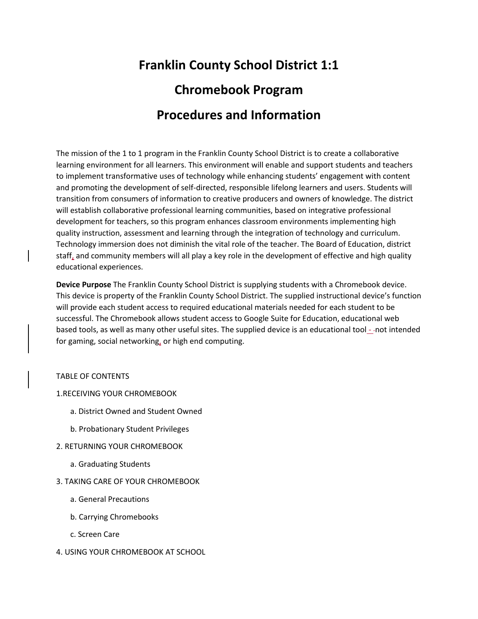# **Franklin County School District 1:1 Chromebook Program Procedures and Information**

The mission of the 1 to 1 program in the Franklin County School District is to create a collaborative learning environment for all learners. This environment will enable and support students and teachers to implement transformative uses of technology while enhancing students' engagement with content and promoting the development of self-directed, responsible lifelong learners and users. Students will transition from consumers of information to creative producers and owners of knowledge. The district will establish collaborative professional learning communities, based on integrative professional development for teachers, so this program enhances classroom environments implementing high quality instruction, assessment and learning through the integration of technology and curriculum. Technology immersion does not diminish the vital role of the teacher. The Board of Education, district staff, and community members will all play a key role in the development of effective and high quality educational experiences.

**Device Purpose** The Franklin County School District is supplying students with a Chromebook device. This device is property of the Franklin County School District. The supplied instructional device's function will provide each student access to required educational materials needed for each student to be successful. The Chromebook allows student access to Google Suite for Education, educational web based tools, as well as many other useful sites. The supplied device is an educational tool - not intended for gaming, social networking, or high end computing.

# TABLE OF CONTENTS

## 1.RECEIVING YOUR CHROMEBOOK

- a. District Owned and Student Owned
- b. Probationary Student Privileges
- 2. RETURNING YOUR CHROMEBOOK
	- a. Graduating Students
- 3. TAKING CARE OF YOUR CHROMEBOOK
	- a. General Precautions
	- b. Carrying Chromebooks
	- c. Screen Care
- 4. USING YOUR CHROMEBOOK AT SCHOOL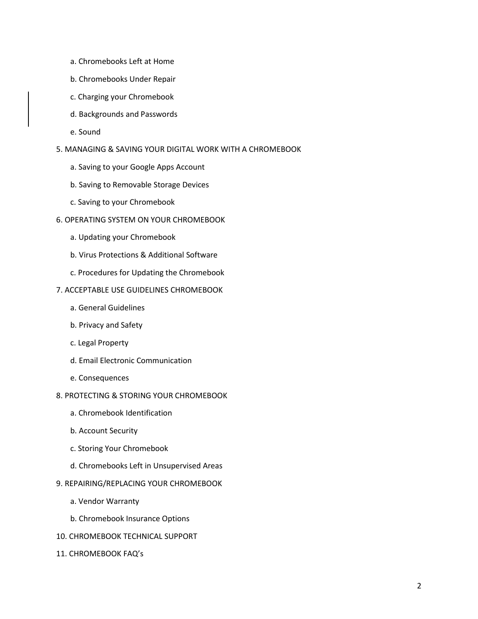- a. Chromebooks Left at Home
- b. Chromebooks Under Repair
- c. Charging your Chromebook
- d. Backgrounds and Passwords
- e. Sound
- 5. MANAGING & SAVING YOUR DIGITAL WORK WITH A CHROMEBOOK
	- a. Saving to your Google Apps Account
	- b. Saving to Removable Storage Devices
	- c. Saving to your Chromebook
- 6. OPERATING SYSTEM ON YOUR CHROMEBOOK
	- a. Updating your Chromebook
	- b. Virus Protections & Additional Software
	- c. Procedures for Updating the Chromebook

## 7. ACCEPTABLE USE GUIDELINES CHROMEBOOK

- a. General Guidelines
- b. Privacy and Safety
- c. Legal Property
- d. Email Electronic Communication
- e. Consequences
- 8. PROTECTING & STORING YOUR CHROMEBOOK
	- a. Chromebook Identification
	- b. Account Security
	- c. Storing Your Chromebook
	- d. Chromebooks Left in Unsupervised Areas
- 9. REPAIRING/REPLACING YOUR CHROMEBOOK
	- a. Vendor Warranty
	- b. Chromebook Insurance Options
- 10. CHROMEBOOK TECHNICAL SUPPORT
- 11. CHROMEBOOK FAQ's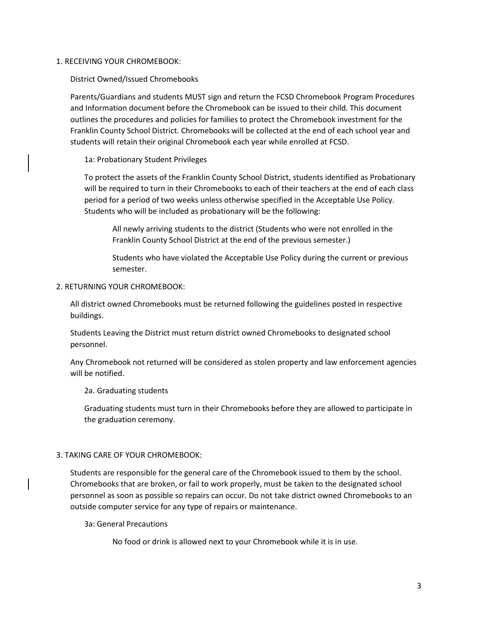## 1. RECEIVING YOUR CHROMEBOOK:

District Owned/Issued Chromebooks

Parents/Guardians and students MUST sign and return the FCSD Chromebook Program Procedures and Information document before the Chromebook can be issued to their child. This document outlines the procedures and policies for families to protect the Chromebook investment for the Franklin County School District. Chromebooks will be collected at the end of each school year and students will retain their original Chromebook each year while enrolled at FCSD.

1a: Probationary Student Privileges

To protect the assets of the Franklin County School District, students identified as Probationary will be required to turn in their Chromebooks to each of their teachers at the end of each class period for a period of two weeks unless otherwise specified in the Acceptable Use Policy. Students who will be included as probationary will be the following:

All newly arriving students to the district (Students who were not enrolled in the Franklin County School District at the end of the previous semester.)

Students who have violated the Acceptable Use Policy during the current or previous semester.

## 2. RETURNING YOUR CHROMEBOOK:

All district owned Chromebooks must be returned following the guidelines posted in respective buildings.

Students Leaving the District must return district owned Chromebooks to designated school personnel.

Any Chromebook not returned will be considered as stolen property and law enforcement agencies will be notified.

2a. Graduating students

Graduating students must turn in their Chromebooks before they are allowed to participate in the graduation ceremony.

## 3. TAKING CARE OF YOUR CHROMEBOOK:

Students are responsible for the general care of the Chromebook issued to them by the school. Chromebooks that are broken, or fail to work properly, must be taken to the designated school personnel as soon as possible so repairs can occur. Do not take district owned Chromebooks to an outside computer service for any type of repairs or maintenance.

3a: General Precautions

No food or drink is allowed next to your Chromebook while it is in use.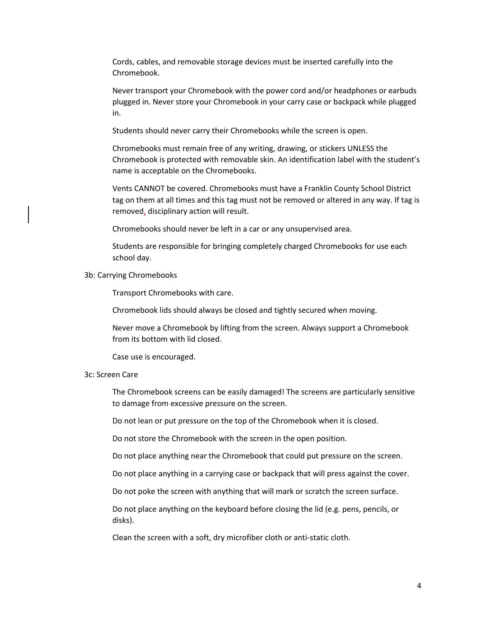Cords, cables, and removable storage devices must be inserted carefully into the Chromebook.

Never transport your Chromebook with the power cord and/or headphones or earbuds plugged in. Never store your Chromebook in your carry case or backpack while plugged in.

Students should never carry their Chromebooks while the screen is open.

Chromebooks must remain free of any writing, drawing, or stickers UNLESS the Chromebook is protected with removable skin. An identification label with the student's name is acceptable on the Chromebooks.

Vents CANNOT be covered. Chromebooks must have a Franklin County School District tag on them at all times and this tag must not be removed or altered in any way. If tag is removed, disciplinary action will result.

Chromebooks should never be left in a car or any unsupervised area.

Students are responsible for bringing completely charged Chromebooks for use each school day.

## 3b: Carrying Chromebooks

Transport Chromebooks with care.

Chromebook lids should always be closed and tightly secured when moving.

Never move a Chromebook by lifting from the screen. Always support a Chromebook from its bottom with lid closed.

Case use is encouraged.

#### 3c: Screen Care

The Chromebook screens can be easily damaged! The screens are particularly sensitive to damage from excessive pressure on the screen.

Do not lean or put pressure on the top of the Chromebook when it is closed.

Do not store the Chromebook with the screen in the open position.

Do not place anything near the Chromebook that could put pressure on the screen.

Do not place anything in a carrying case or backpack that will press against the cover.

Do not poke the screen with anything that will mark or scratch the screen surface.

Do not place anything on the keyboard before closing the lid (e.g. pens, pencils, or disks).

Clean the screen with a soft, dry microfiber cloth or anti-static cloth.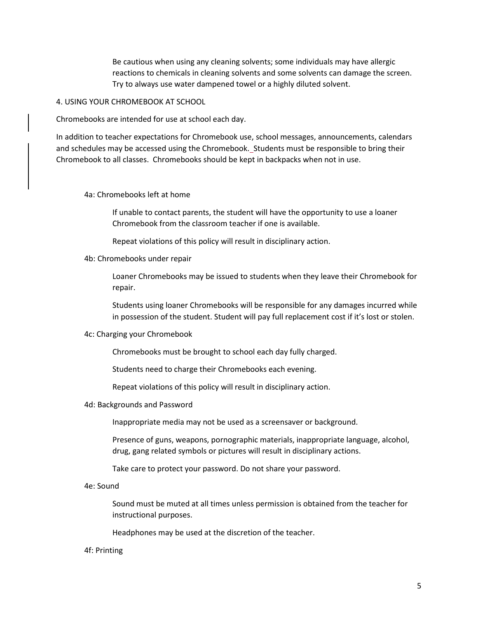Be cautious when using any cleaning solvents; some individuals may have allergic reactions to chemicals in cleaning solvents and some solvents can damage the screen. Try to always use water dampened towel or a highly diluted solvent.

4. USING YOUR CHROMEBOOK AT SCHOOL

Chromebooks are intended for use at school each day.

In addition to teacher expectations for Chromebook use, school messages, announcements, calendars and schedules may be accessed using the Chromebook. Students must be responsible to bring their Chromebook to all classes. Chromebooks should be kept in backpacks when not in use.

4a: Chromebooks left at home

If unable to contact parents, the student will have the opportunity to use a loaner Chromebook from the classroom teacher if one is available.

Repeat violations of this policy will result in disciplinary action.

4b: Chromebooks under repair

Loaner Chromebooks may be issued to students when they leave their Chromebook for repair.

Students using loaner Chromebooks will be responsible for any damages incurred while in possession of the student. Student will pay full replacement cost if it's lost or stolen.

#### 4c: Charging your Chromebook

Chromebooks must be brought to school each day fully charged.

Students need to charge their Chromebooks each evening.

Repeat violations of this policy will result in disciplinary action.

4d: Backgrounds and Password

Inappropriate media may not be used as a screensaver or background.

Presence of guns, weapons, pornographic materials, inappropriate language, alcohol, drug, gang related symbols or pictures will result in disciplinary actions.

Take care to protect your password. Do not share your password.

4e: Sound

Sound must be muted at all times unless permission is obtained from the teacher for instructional purposes.

Headphones may be used at the discretion of the teacher.

#### 4f: Printing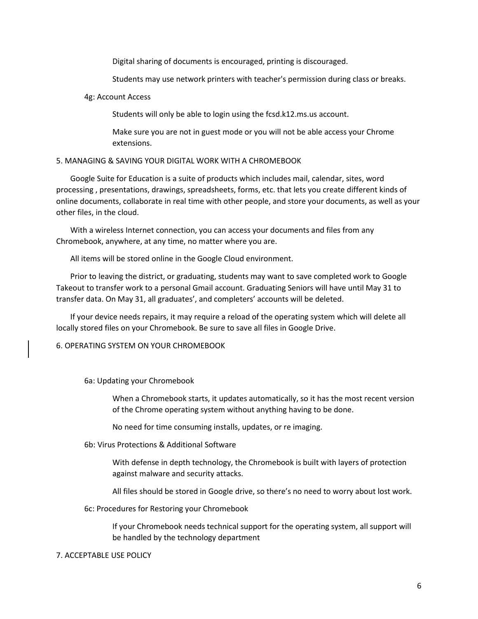Digital sharing of documents is encouraged, printing is discouraged.

Students may use network printers with teacher's permission during class or breaks.

## 4g: Account Access

Students will only be able to login using the fcsd.k12.ms.us account.

Make sure you are not in guest mode or you will not be able access your Chrome extensions.

## 5. MANAGING & SAVING YOUR DIGITAL WORK WITH A CHROMEBOOK

Google Suite for Education is a suite of products which includes mail, calendar, sites, word processing , presentations, drawings, spreadsheets, forms, etc. that lets you create different kinds of online documents, collaborate in real time with other people, and store your documents, as well as your other files, in the cloud.

With a wireless Internet connection, you can access your documents and files from any Chromebook, anywhere, at any time, no matter where you are.

All items will be stored online in the Google Cloud environment.

Prior to leaving the district, or graduating, students may want to save completed work to Google Takeout to transfer work to a personal Gmail account. Graduating Seniors will have until May 31 to transfer data. On May 31, all graduates', and completers' accounts will be deleted.

If your device needs repairs, it may require a reload of the operating system which will delete all locally stored files on your Chromebook. Be sure to save all files in Google Drive.

6. OPERATING SYSTEM ON YOUR CHROMEBOOK

#### 6a: Updating your Chromebook

When a Chromebook starts, it updates automatically, so it has the most recent version of the Chrome operating system without anything having to be done.

No need for time consuming installs, updates, or re imaging.

6b: Virus Protections & Additional Software

With defense in depth technology, the Chromebook is built with layers of protection against malware and security attacks.

All files should be stored in Google drive, so there's no need to worry about lost work.

6c: Procedures for Restoring your Chromebook

If your Chromebook needs technical support for the operating system, all support will be handled by the technology department

## 7. ACCEPTABLE USE POLICY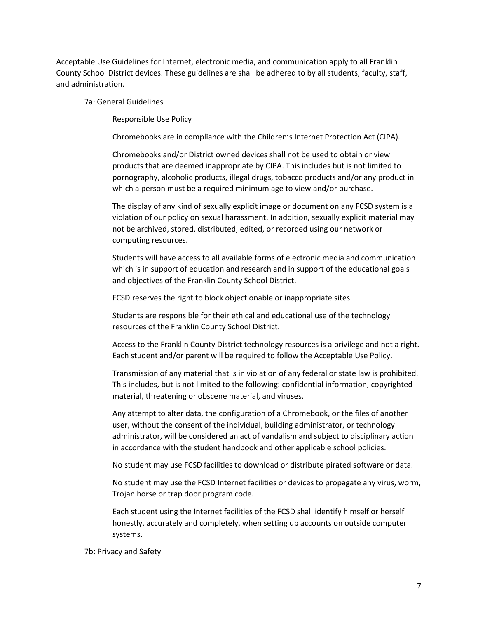Acceptable Use Guidelines for Internet, electronic media, and communication apply to all Franklin County School District devices. These guidelines are shall be adhered to by all students, faculty, staff, and administration.

7a: General Guidelines

Responsible Use Policy

Chromebooks are in compliance with the Children's Internet Protection Act (CIPA).

Chromebooks and/or District owned devices shall not be used to obtain or view products that are deemed inappropriate by CIPA. This includes but is not limited to pornography, alcoholic products, illegal drugs, tobacco products and/or any product in which a person must be a required minimum age to view and/or purchase.

The display of any kind of sexually explicit image or document on any FCSD system is a violation of our policy on sexual harassment. In addition, sexually explicit material may not be archived, stored, distributed, edited, or recorded using our network or computing resources.

Students will have access to all available forms of electronic media and communication which is in support of education and research and in support of the educational goals and objectives of the Franklin County School District.

FCSD reserves the right to block objectionable or inappropriate sites.

Students are responsible for their ethical and educational use of the technology resources of the Franklin County School District.

Access to the Franklin County District technology resources is a privilege and not a right. Each student and/or parent will be required to follow the Acceptable Use Policy.

Transmission of any material that is in violation of any federal or state law is prohibited. This includes, but is not limited to the following: confidential information, copyrighted material, threatening or obscene material, and viruses.

Any attempt to alter data, the configuration of a Chromebook, or the files of another user, without the consent of the individual, building administrator, or technology administrator, will be considered an act of vandalism and subject to disciplinary action in accordance with the student handbook and other applicable school policies.

No student may use FCSD facilities to download or distribute pirated software or data.

No student may use the FCSD Internet facilities or devices to propagate any virus, worm, Trojan horse or trap door program code.

Each student using the Internet facilities of the FCSD shall identify himself or herself honestly, accurately and completely, when setting up accounts on outside computer systems.

7b: Privacy and Safety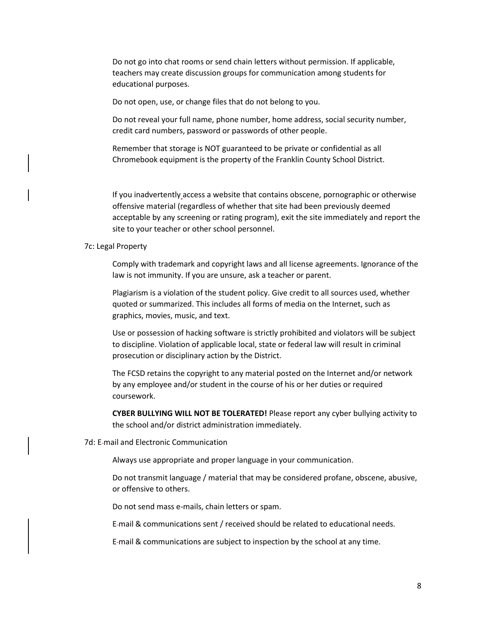Do not go into chat rooms or send chain letters without permission. If applicable, teachers may create discussion groups for communication among students for educational purposes.

Do not open, use, or change files that do not belong to you.

Do not reveal your full name, phone number, home address, social security number, credit card numbers, password or passwords of other people.

Remember that storage is NOT guaranteed to be private or confidential as all Chromebook equipment is the property of the Franklin County School District.

If you inadvertently access a website that contains obscene, pornographic or otherwise offensive material (regardless of whether that site had been previously deemed acceptable by any screening or rating program), exit the site immediately and report the site to your teacher or other school personnel.

#### 7c: Legal Property

Comply with trademark and copyright laws and all license agreements. Ignorance of the law is not immunity. If you are unsure, ask a teacher or parent.

Plagiarism is a violation of the student policy. Give credit to all sources used, whether quoted or summarized. This includes all forms of media on the Internet, such as graphics, movies, music, and text.

Use or possession of hacking software is strictly prohibited and violators will be subject to discipline. Violation of applicable local, state or federal law will result in criminal prosecution or disciplinary action by the District.

The FCSD retains the copyright to any material posted on the Internet and/or network by any employee and/or student in the course of his or her duties or required coursework.

**CYBER BULLYING WILL NOT BE TOLERATED!** Please report any cyber bullying activity to the school and/or district administration immediately.

7d: E-mail and Electronic Communication

Always use appropriate and proper language in your communication.

Do not transmit language / material that may be considered profane, obscene, abusive, or offensive to others.

Do not send mass e-mails, chain letters or spam.

E mail & communications sent / received should be related to educational needs.

E-mail & communications are subject to inspection by the school at any time.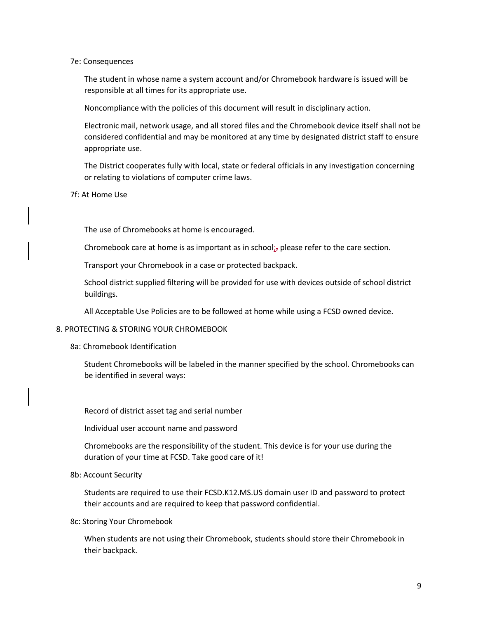#### 7e: Consequences

The student in whose name a system account and/or Chromebook hardware is issued will be responsible at all times for its appropriate use.

Noncompliance with the policies of this document will result in disciplinary action.

Electronic mail, network usage, and all stored files and the Chromebook device itself shall not be considered confidential and may be monitored at any time by designated district staff to ensure appropriate use.

The District cooperates fully with local, state or federal officials in any investigation concerning or relating to violations of computer crime laws.

## 7f: At Home Use

The use of Chromebooks at home is encouraged.

Chromebook care at home is as important as in school; please refer to the care section.

Transport your Chromebook in a case or protected backpack.

School district supplied filtering will be provided for use with devices outside of school district buildings.

All Acceptable Use Policies are to be followed at home while using a FCSD owned device.

## 8. PROTECTING & STORING YOUR CHROMEBOOK

8a: Chromebook Identification

Student Chromebooks will be labeled in the manner specified by the school. Chromebooks can be identified in several ways:

Record of district asset tag and serial number

Individual user account name and password

Chromebooks are the responsibility of the student. This device is for your use during the duration of your time at FCSD. Take good care of it!

#### 8b: Account Security

Students are required to use their FCSD.K12.MS.US domain user ID and password to protect their accounts and are required to keep that password confidential.

8c: Storing Your Chromebook

When students are not using their Chromebook, students should store their Chromebook in their backpack.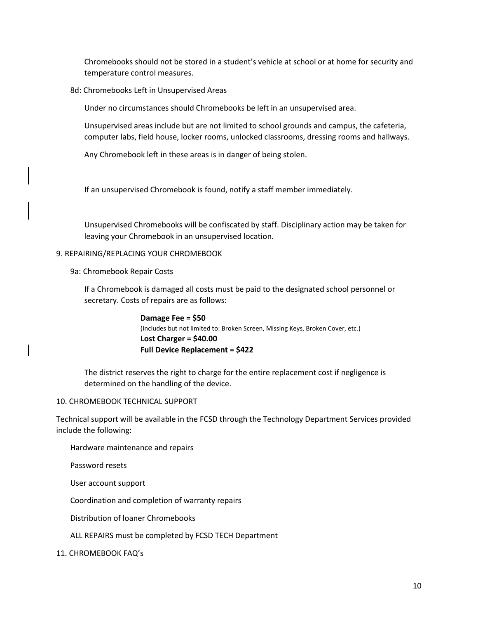Chromebooks should not be stored in a student's vehicle at school or at home for security and temperature control measures.

## 8d: Chromebooks Left in Unsupervised Areas

Under no circumstances should Chromebooks be left in an unsupervised area.

Unsupervised areas include but are not limited to school grounds and campus, the cafeteria, computer labs, field house, locker rooms, unlocked classrooms, dressing rooms and hallways.

Any Chromebook left in these areas is in danger of being stolen.

If an unsupervised Chromebook is found, notify a staff member immediately.

Unsupervised Chromebooks will be confiscated by staff. Disciplinary action may be taken for leaving your Chromebook in an unsupervised location.

## 9. REPAIRING/REPLACING YOUR CHROMEBOOK

9a: Chromebook Repair Costs

If a Chromebook is damaged all costs must be paid to the designated school personnel or secretary. Costs of repairs are as follows:

> **Damage Fee = \$50** (Includes but not limited to: Broken Screen, Missing Keys, Broken Cover, etc.) **Lost Charger = \$40.00 Full Device Replacement = \$422**

The district reserves the right to charge for the entire replacement cost if negligence is determined on the handling of the device.

## 10. CHROMEBOOK TECHNICAL SUPPORT

Technical support will be available in the FCSD through the Technology Department Services provided include the following:

Hardware maintenance and repairs

Password resets

User account support

Coordination and completion of warranty repairs

Distribution of loaner Chromebooks

## ALL REPAIRS must be completed by FCSD TECH Department

## 11. CHROMEBOOK FAQ's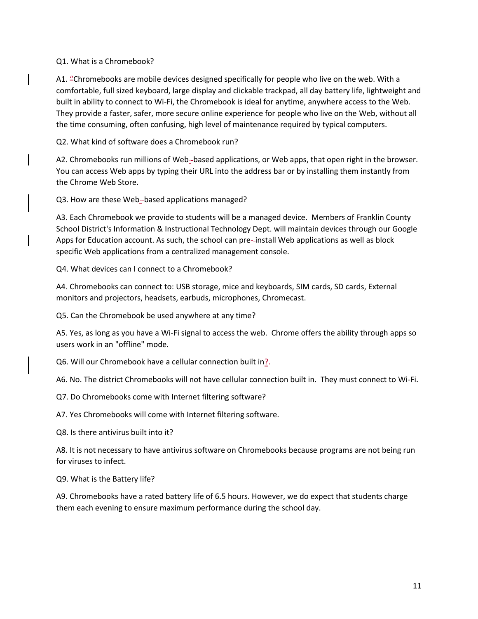## Q1. What is a Chromebook?

A1. "Chromebooks are mobile devices designed specifically for people who live on the web. With a comfortable, full sized keyboard, large display and clickable trackpad, all day battery life, lightweight and built in ability to connect to Wi-Fi, the Chromebook is ideal for anytime, anywhere access to the Web. They provide a faster, safer, more secure online experience for people who live on the Web, without all the time consuming, often confusing, high level of maintenance required by typical computers.

Q2. What kind of software does a Chromebook run?

A2. Chromebooks run millions of Web-based applications, or Web apps, that open right in the browser. You can access Web apps by typing their URL into the address bar or by installing them instantly from the Chrome Web Store.

Q3. How are these Web-based applications managed?

A3. Each Chromebook we provide to students will be a managed device. Members of Franklin County School District's Information & Instructional Technology Dept. will maintain devices through our Google Apps for Education account. As such, the school can pre--install Web applications as well as block specific Web applications from a centralized management console.

Q4. What devices can I connect to a Chromebook?

A4. Chromebooks can connect to: USB storage, mice and keyboards, SIM cards, SD cards, External monitors and projectors, headsets, earbuds, microphones, Chromecast.

Q5. Can the Chromebook be used anywhere at any time?

A5. Yes, as long as you have a Wi-Fi signal to access the web. Chrome offers the ability through apps so users work in an "offline" mode.

Q6. Will our Chromebook have a cellular connection built in?.

A6. No. The district Chromebooks will not have cellular connection built in. They must connect to Wi-Fi.

Q7. Do Chromebooks come with Internet filtering software?

A7. Yes Chromebooks will come with Internet filtering software.

Q8. Is there antivirus built into it?

A8. It is not necessary to have antivirus software on Chromebooks because programs are not being run for viruses to infect.

Q9. What is the Battery life?

A9. Chromebooks have a rated battery life of 6.5 hours. However, we do expect that students charge them each evening to ensure maximum performance during the school day.